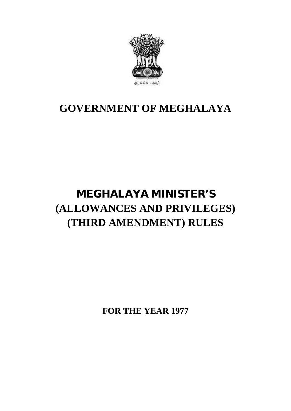

### **GOVERNMENT OF MEGHALAYA**

## **MEGHALAYA MINISTER'S (ALLOWANCES AND PRIVILEGES) (THIRD AMENDMENT) RULES**

**FOR THE YEAR 1977**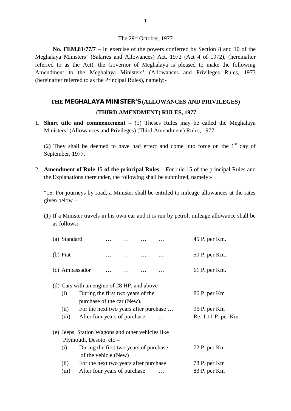#### The 29<sup>th</sup> October, 1977

**No. FEM.81/77/7** – In exercise of the powers conferred by Section 8 and 10 of the Meghalaya Ministers' (Salaries and Allowances) Act, 1972 (Act 4 of 1972), (hereinafter referred to as the Act), the Governor of Meghalaya i The 29<sup>th</sup> October, 1977<br> **No. FEM.81/77/7** – In exercise of the powers conferred by Section 8 and 10 of the<br>
Meghalaya Ministers' (Salaries and Allowances) Act, 1972 (Act 4 of 1972), (hereinafter<br>
referred to as the Act), The 29<sup>th</sup> October, 1977<br>No. FEM.81/77/7 – In exercise of the powers conferred by Section 8 and 10 of the<br>Meghalaya Ministers' (Salaries and Allowances) Act, 1972 (Act 4 of 1972), (hereinafter<br>referred to as the Act), the Amendment to the Meghalaya Ministers' (Allowances and Privileges Rules, 1973 (hereinafter referred to as the Principal Rules), namely:-

# **THE MEGHALAYA MINISTER'S (ALLOWANCES AND PRIVILEGES)** the Principal Rules), namely:-<br>**YA MINISTER'S (ALLOWANCES AND PRIVI)**<br>(**THIRD AMENDMENT) RULES, 1977**<br>**Imencement** – (1) Theses Rules may be called THE MEGHALAYA MINISTER'S (ALLOWANCES AND PRIVILEGES)<br>
(THIRD AMENDMENT) RULES, 1977<br>
Short title and commencement – (1) Theses Rules may be called the Medinisters' (Allowances and Privileges) (Third Amendment) Rules, 1977

1. **Short title and commencement** – (1) Theses Rules may be called the Meghalaya

(THIRD AMENDMENT) RULES, 1977<br>Short title and commencement – (1) Theses Rules may be called the Meghalaya<br>Ministers' (Allowances and Privileges) (Third Amendment) Rules, 1977<br>(2) They shall be deemed to have had effect an Short title and com<br>Ministers' (Allowance<br>(2) They shall be de<br>September, 1977. (2) They shall be deemed to have had effect and come into force on th<br>September, 1977.<br>**Amendment of Rule 15 of the principal Rules** – For rule 15 of the princip<br>the Explanations thereunder, the following shall be submitt

2. **Amendment of Rule 15 of the principal Rules** – For rule 15 of the principal Rules and the Explanations thereunder, the following shall be submitted, namely:-September, 1977.<br>
2. **Amendment of Rule 15 of the principal Rules** – For rule 15 of the principal Rules and<br>
the Explanations thereunder, the following shall be submitted, namely:-<br>
"15. For journeys by road, a Minister sh

given below –

(1) If a Minister travels in his own car and it is run by petrol, mileage allowance shall be as follows:as follows:-

| If a Minister travels in his own car and it is run by petrol, mileage allowance shall be<br>as follows:-                                                                                                                                          |            |                |  |  |                                              |                                                    |
|---------------------------------------------------------------------------------------------------------------------------------------------------------------------------------------------------------------------------------------------------|------------|----------------|--|--|----------------------------------------------|----------------------------------------------------|
| (a) Standard                                                                                                                                                                                                                                      |            |                |  |  |                                              | 45 P. per Km.                                      |
|                                                                                                                                                                                                                                                   |            |                |  |  |                                              | 50 P. per Km.                                      |
|                                                                                                                                                                                                                                                   |            |                |  |  |                                              | 61 P. per Km.                                      |
| (d) Cars with an engine of 28 HP, and above $-$<br>During the first two years of the<br>(i)<br>purchase of the car (New).<br>(ii)<br>For the next two years after purchase<br>After four years of purchase<br>(iii)                               |            |                |  |  |                                              | 86 P. per Km<br>96 P. per Km<br>Re. 1.11 P. per Km |
| (e) Jeeps, Station Wagons and other vehicles like<br>Plymouth, Desoto, etc $-$<br>During the first two years of purchase<br>(i)<br>of the vehicle (New)<br>For the next two years after purchase<br>(ii)<br>After four years of purchase<br>(iii) |            |                |  |  | 72 P. per Km<br>78 P. per Km<br>83 P. per Km |                                                    |
|                                                                                                                                                                                                                                                   | $(b)$ Fiat | (c) Ambassador |  |  |                                              |                                                    |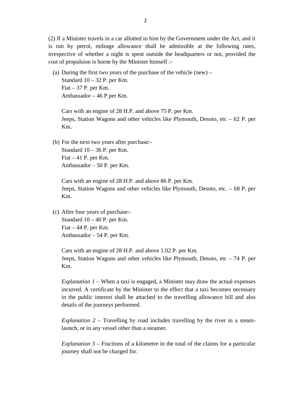(2) If a Minister travels in a car allotted to him by the Government under the Act, and it is run by petrol, mileage allowance shall be admissible at the following rates, 2<br>(2) If a Minister travels in a car allotted to him by the Government under the Act, and it<br>is run by petrol, mileage allowance shall be admissible at the following rates,<br>irrespective of whether a night is spent outside cost of propulsion is borne by the Minister himself :- (a) During the first two years of the purchase of the vehicle (new) – Standard 10 – 32 P. per Km.

Fiat  $-37$  P. per Km. Ambassador – 46 P per Km. Standard 10 – 32 P. per Km.<br>
Fiat – 37 P. per Km.<br>
Ambassador – 46 P per Km.<br>
Cars with an engine of 28 H.P. and above 75 P. per Km.<br>
Jeeps, Station Wagons and other vehicles like Plymouth, Desoto, etc – 62 P. per

Km. Cars with an engine of 28 H.P. and above 75 P. per Km.<br>Jeeps, Station Wagons and other vehicles like Plymout<br>Km.<br>(b) For the next two years after purchase:-

Standard 10 – 36 P. per Km. Fiat  $-41$  P. per Km. Ambassador – 50 P. per Km.

Cars with an engine of 28 H.P. and above 86 P. per Km.<br>
Jeeps, Station Wagons and other vehicles like Plymouth, De<br>
Km.<br>
(c) After four years of purchase:-<br>
Standard 10 – 40 P. per Km. Jeeps, Station Wagons and other vehicles like Plymouth, Desoto, etc. – 68 P. per Km.

Standard  $10 - 40$  P. per Km. Fiat  $-44$  P. per Km. Ambassador – 54 P. per Km.

Standard 10 – 40 P. per Km.<br>Fiat – 44 P. per Km.<br>Ambassador – 54 P. per Km.<br>Cars with an engine of 28 H.P. and above 1.02 P. per Km.<br>Jeeps, Station Wagons and other vehicles like Plymouth, Desoto, etc – 74 P. per Km.

*Explanation 1* – When a taxi is engaged, a Minister may draw the actual expenses incurred. A certificate by the Minister to the effect that a taxi becomes necessary in the public interest shall be attached to the travelling allowance bill and also<br>details of the journeys performed.<br>Explanation 2 – Travelling by road includes travelling by the river in a steam-<br>launch, or in any vessel details of the journeys performed.

*Explanation 2* – Travelling by road includes travelling by the river in a steam-

*Explanation 3* – Fractions of a kilometre in the total of the claims for a particular journey shall not be charged for.